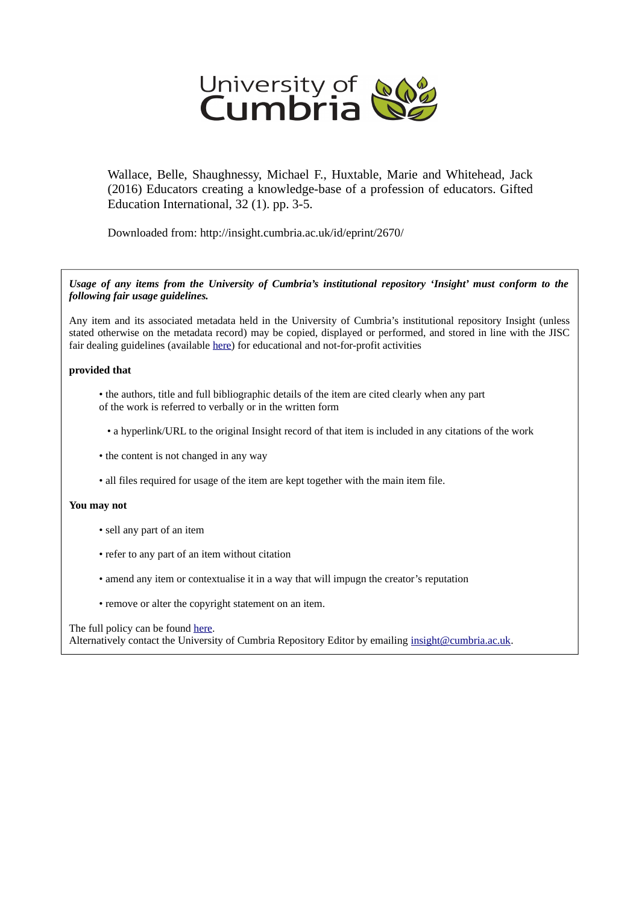

Wallace, Belle, Shaughnessy, Michael F., Huxtable, Marie and Whitehead, Jack (2016) Educators creating a knowledge-base of a profession of educators. Gifted Education International, 32 (1). pp. 3-5.

Downloaded from: http://insight.cumbria.ac.uk/id/eprint/2670/

*Usage of any items from the University of Cumbria's institutional repository 'Insight' must conform to the following fair usage guidelines.*

Any item and its associated metadata held in the University of Cumbria's institutional repository Insight (unless stated otherwise on the metadata record) may be copied, displayed or performed, and stored in line with the JISC fair dealing guidelines (available [here\)](http://www.ukoln.ac.uk/services/elib/papers/pa/fair/) for educational and not-for-profit activities

## **provided that**

- the authors, title and full bibliographic details of the item are cited clearly when any part of the work is referred to verbally or in the written form
	- a hyperlink/URL to the original Insight record of that item is included in any citations of the work
- the content is not changed in any way
- all files required for usage of the item are kept together with the main item file.

## **You may not**

- sell any part of an item
- refer to any part of an item without citation
- amend any item or contextualise it in a way that will impugn the creator's reputation
- remove or alter the copyright statement on an item.

## The full policy can be found [here.](http://insight.cumbria.ac.uk/legal.html#section5)

Alternatively contact the University of Cumbria Repository Editor by emailing [insight@cumbria.ac.uk.](mailto:insight@cumbria.ac.uk)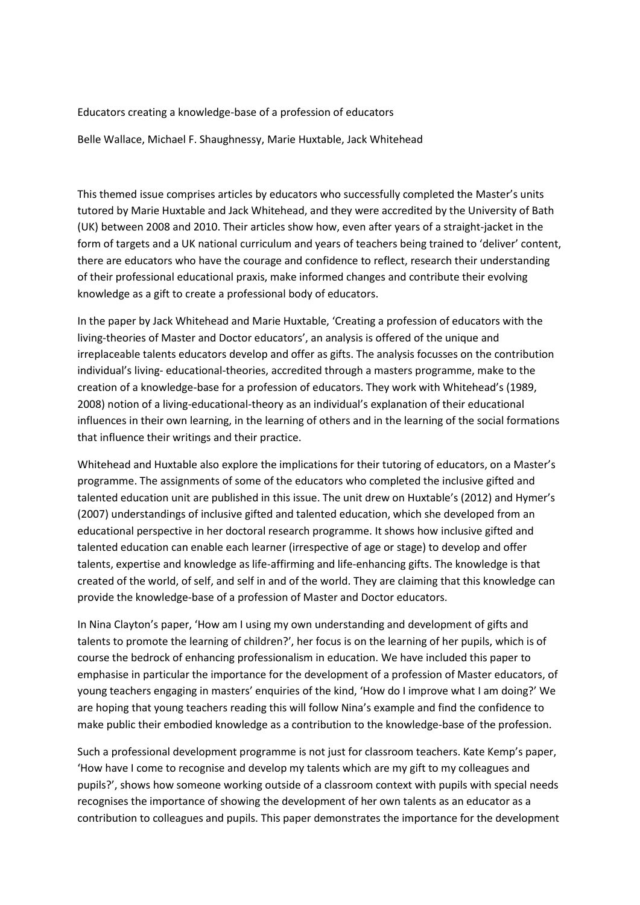Educators creating a knowledge-base of a profession of educators

Belle Wallace, Michael F. Shaughnessy, Marie Huxtable, Jack Whitehead

This themed issue comprises articles by educators who successfully completed the Master's units tutored by Marie Huxtable and Jack Whitehead, and they were accredited by the University of Bath (UK) between 2008 and 2010. Their articles show how, even after years of a straight-jacket in the form of targets and a UK national curriculum and years of teachers being trained to 'deliver' content, there are educators who have the courage and confidence to reflect, research their understanding of their professional educational praxis, make informed changes and contribute their evolving knowledge as a gift to create a professional body of educators.

In the paper by Jack Whitehead and Marie Huxtable, 'Creating a profession of educators with the living-theories of Master and Doctor educators', an analysis is offered of the unique and irreplaceable talents educators develop and offer as gifts. The analysis focusses on the contribution individual's living- educational-theories, accredited through a masters programme, make to the creation of a knowledge-base for a profession of educators. They work with Whitehead's (1989, 2008) notion of a living-educational-theory as an individual's explanation of their educational influences in their own learning, in the learning of others and in the learning of the social formations that influence their writings and their practice.

Whitehead and Huxtable also explore the implications for their tutoring of educators, on a Master's programme. The assignments of some of the educators who completed the inclusive gifted and talented education unit are published in this issue. The unit drew on Huxtable's (2012) and Hymer's (2007) understandings of inclusive gifted and talented education, which she developed from an educational perspective in her doctoral research programme. It shows how inclusive gifted and talented education can enable each learner (irrespective of age or stage) to develop and offer talents, expertise and knowledge as life-affirming and life-enhancing gifts. The knowledge is that created of the world, of self, and self in and of the world. They are claiming that this knowledge can provide the knowledge-base of a profession of Master and Doctor educators.

In Nina Clayton's paper, 'How am I using my own understanding and development of gifts and talents to promote the learning of children?', her focus is on the learning of her pupils, which is of course the bedrock of enhancing professionalism in education. We have included this paper to emphasise in particular the importance for the development of a profession of Master educators, of young teachers engaging in masters' enquiries of the kind, 'How do I improve what I am doing?' We are hoping that young teachers reading this will follow Nina's example and find the confidence to make public their embodied knowledge as a contribution to the knowledge-base of the profession.

Such a professional development programme is not just for classroom teachers. Kate Kemp's paper, 'How have I come to recognise and develop my talents which are my gift to my colleagues and pupils?', shows how someone working outside of a classroom context with pupils with special needs recognises the importance of showing the development of her own talents as an educator as a contribution to colleagues and pupils. This paper demonstrates the importance for the development